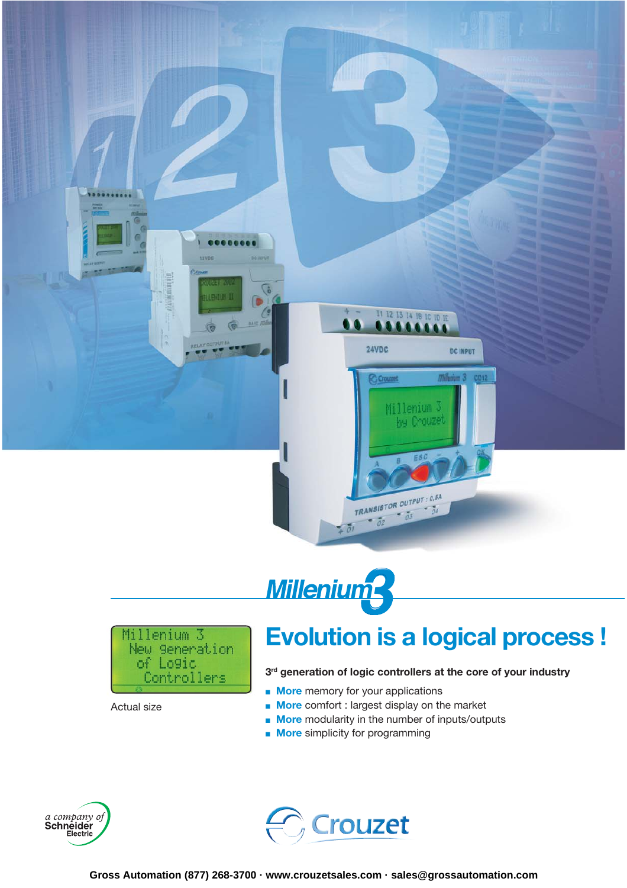





Actual size

## **Evolution is a logical process !**

#### **3rd generation of logic controllers at the core of your industry**

- **More** memory for your applications
- **More** comfort : largest display on the market
- **More** modularity in the number of inputs/outputs
- **More** simplicity for programming



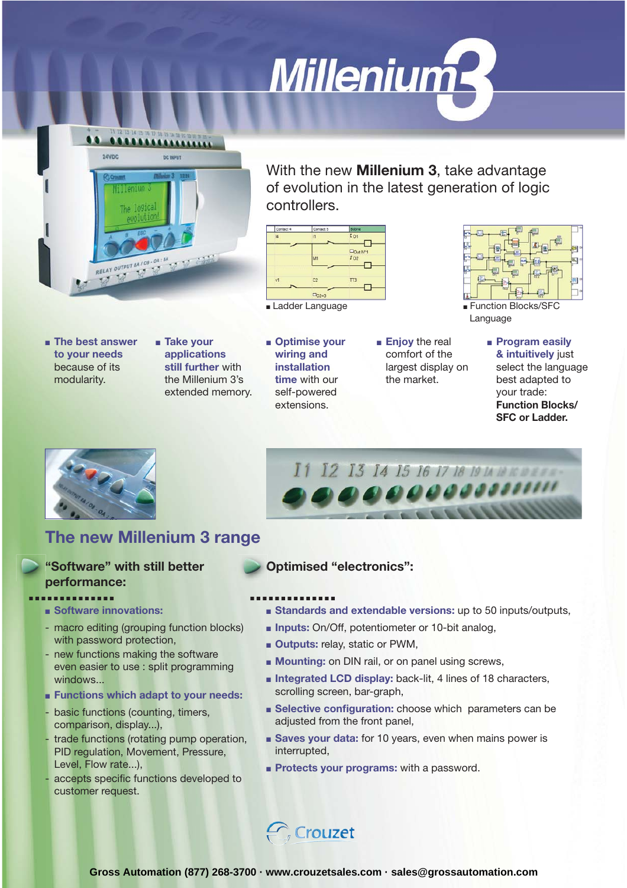



With the new **Millenium 3**, take advantage of evolution in the latest generation of logic controllers.

> ■ **Enjoy** the real comfort of the largest display on the market.



■ Ladder Language ■ ■ Function Blocks/SFC

- **The best answer to your needs**  because of its modularity.
- **Take your applications still further** with the Millenium 3's extended memory.
- **Optimise your wiring and installation time** with our self-powered extensions.

Language

■ **Program easily & intuitively** just select the language best adapted to your trade: **Function Blocks/ SFC or Ladder.**



## **The new Millenium 3 range**

### **"Software" with still better performance: .............. ..............**

- ■ **Software innovations:**
- macro editing (grouping function blocks) with password protection,
- new functions making the software even easier to use : split programming windows...
- ■ **Functions which adapt to your needs:**
- basic functions (counting, timers, comparison, display...),
- trade functions (rotating pump operation, PID regulation, Movement, Pressure, Level, Flow rate...),
- accepts specific functions developed to customer request.
- **Optimised "electronics":**
- 
- **Standards and extendable versions:** up to 50 inputs/outputs,

I1 12 13 14 15 16 17 18 19 14 18 16 17 18

000000000000

- **Inputs:** On/Off, potentiometer or 10-bit analog,
- **Outputs:** relay, static or PWM,
- **Mounting:** on DIN rail, or on panel using screws,
- **Integrated LCD display:** back-lit, 4 lines of 18 characters, scrolling screen, bar-graph,
- **Belective configuration:** choose which parameters can be adjusted from the front panel,
- **Saves your data:** for 10 years, even when mains power is interrupted,
- **Protects your programs:** with a password.



**Gross Automation (877) 268-3700 · www.crouzetsales.com · sales@grossautomation.com**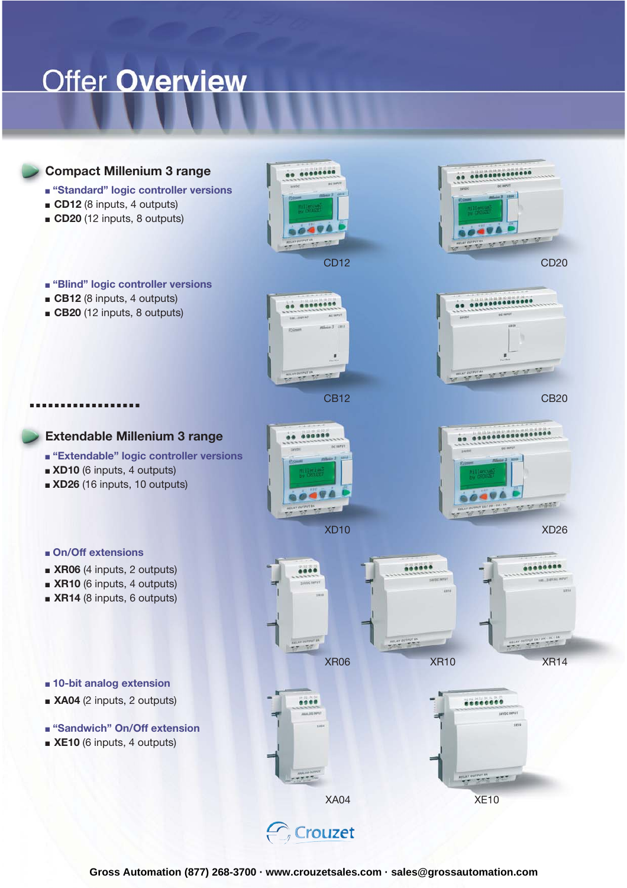## **Offer Overview**

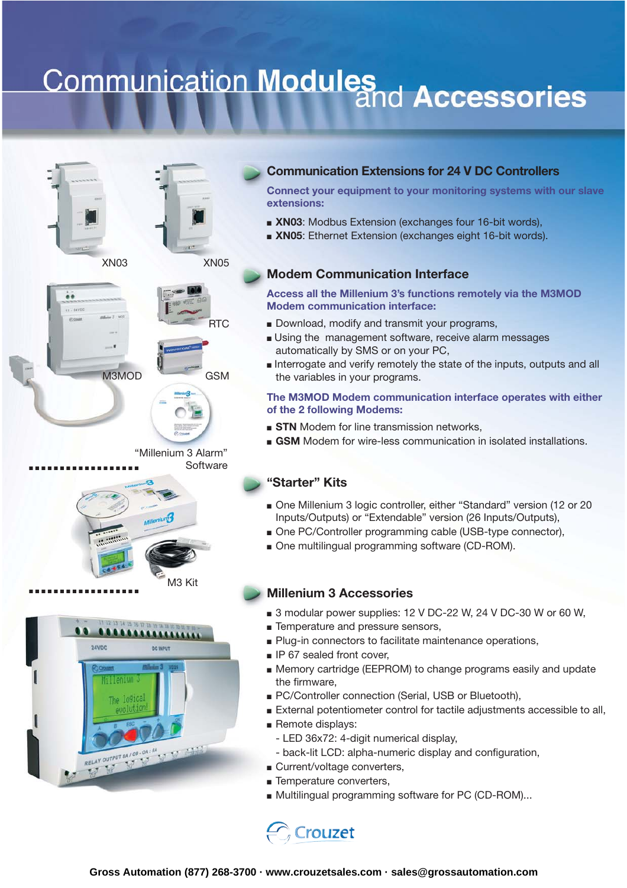# **Communication Modules**<br>and Accessories









"Millenium 3 Alarm" **Software** 



M3MOD



#### **Communication Extensions for 24 V DC Controllers**

**Connect your equipment to your monitoring systems with our slave extensions:**

- **XN03:** Modbus Extension (exchanges four 16-bit words),
- ■ **XN05**: Ethernet Extension (exchanges eight 16-bit words).

#### **Modem Communication Interface**

**Access all the Millenium 3's functions remotely via the M3MOD Modem communication interface:** 

- Download, modify and transmit your programs,
- Using the management software, receive alarm messages automatically by SMS or on your PC,
- Interrogate and verify remotely the state of the inputs, outputs and all the variables in your programs.

#### **The M3MOD Modem communication interface operates with either of the 2 following Modems:**

- **STN** Modem for line transmission networks,
- GSM Modem for wire-less communication in isolated installations.

#### **"Starter" Kits**

- One Millenium 3 logic controller, either "Standard" version (12 or 20 Inputs/Outputs) or "Extendable" version (26 Inputs/Outputs),
- One PC/Controller programming cable (USB-type connector),
- One multilingual programming software (CD-ROM).

#### **Millenium 3 Accessories**

- 3 modular power supplies: 12 V DC-22 W, 24 V DC-30 W or 60 W,
- Temperature and pressure sensors,
- Plug-in connectors to facilitate maintenance operations,
- IP 67 sealed front cover,
- Memory cartridge (EEPROM) to change programs easily and update the firmware,
- PC/Controller connection (Serial, USB or Bluetooth),
- External potentiometer control for tactile adjustments accessible to all,
- Remote displays:
	- LED 36x72: 4-digit numerical display,
	- back-lit LCD: alpha-numeric display and configuration,
- Current/voltage converters,
- Temperature converters,
- Multilingual programming software for PC (CD-ROM)...

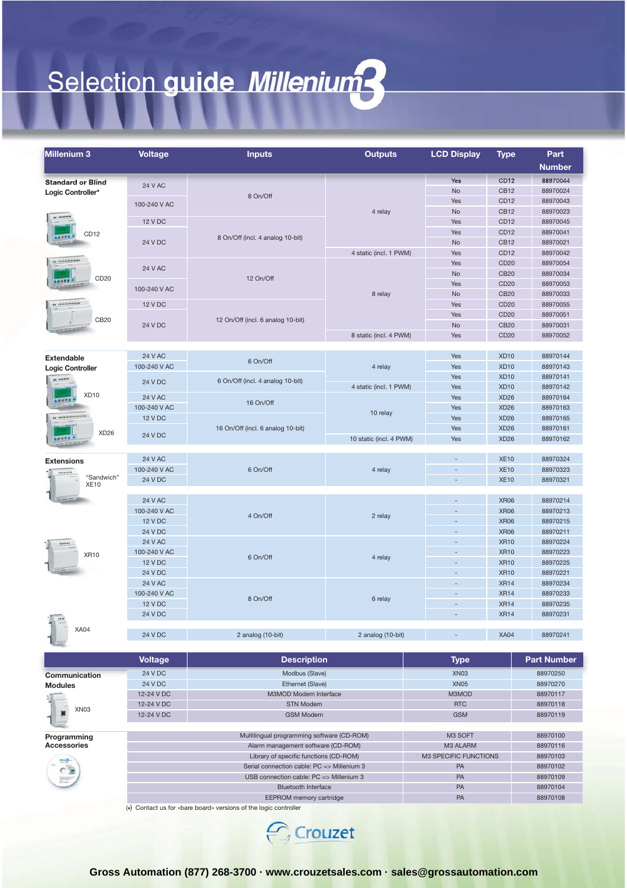## Selection guide Millenium?

| Millenium 3                       | <b>Voltage</b>                             | <b>Inputs</b>                                                    | <b>Outputs</b>          | <b>LCD Display</b>       | <b>Type</b>                     | Part                 |
|-----------------------------------|--------------------------------------------|------------------------------------------------------------------|-------------------------|--------------------------|---------------------------------|----------------------|
|                                   |                                            |                                                                  |                         |                          |                                 | <b>Number</b>        |
| <b>Standard or Blind</b>          |                                            |                                                                  |                         | Yes                      | CD <sub>12</sub>                | 88970044             |
| Logic Controller*                 | <b>24 V AC</b>                             | 8 On/Off                                                         |                         | No                       | <b>CB12</b>                     | 88970024             |
|                                   | 100-240 V AC                               |                                                                  | 4 relay                 | Yes                      | CD <sub>12</sub>                | 88970043             |
| ** ********                       |                                            |                                                                  |                         | <b>No</b>                | <b>CB12</b>                     | 88970023             |
|                                   | 12 V DC                                    |                                                                  |                         | Yes                      | CD12                            | 88970045             |
| CD <sub>12</sub><br>$-0.000$      |                                            | 8 On/Off (incl. 4 analog 10-bit)                                 |                         | Yes                      | CD12                            | 88970041             |
|                                   | 24 V DC                                    |                                                                  |                         | <b>No</b>                | <b>CB12</b>                     | 88970021             |
| ** **************                 |                                            |                                                                  | 4 static (incl. 1 PWM)  | Yes<br>Yes               | <b>CD12</b><br>CD <sub>20</sub> | 88970042<br>88970054 |
|                                   | 24 V AC                                    |                                                                  |                         | <b>No</b>                | <b>CB20</b>                     | 88970034             |
| CD20                              |                                            | 12 On/Off                                                        | 8 relay                 | Yes                      | CD <sub>20</sub>                | 88970053             |
|                                   | 100-240 V AC                               |                                                                  |                         | <b>No</b>                | <b>CB20</b>                     | 88970033             |
| ** **************<br>CB20         | 12 V DC                                    |                                                                  |                         | Yes                      | CD20                            | 88970055             |
|                                   |                                            | 12 On/Off (incl. 6 analog 10-bit)                                |                         | Yes                      | CD <sub>20</sub>                | 88970051             |
|                                   | 24 V DC                                    |                                                                  |                         | No                       | <b>CB20</b>                     | 88970031             |
|                                   |                                            |                                                                  | 8 static (incl. 4 PWM)  | Yes                      | <b>CD20</b>                     | 88970052             |
|                                   |                                            |                                                                  |                         |                          |                                 |                      |
| <b>Extendable</b>                 | <b>24 V AC</b>                             | 6 On/Off                                                         |                         | Yes                      | <b>XD10</b>                     | 88970144             |
| <b>Logic Controller</b>           | 100-240 V AC                               |                                                                  | 4 relay                 | Yes                      | <b>XD10</b>                     | 88970143             |
| ** ******                         | 24 V DC                                    | 6 On/Off (incl. 4 analog 10-bit)                                 |                         | Yes                      | XD <sub>10</sub>                | 88970141             |
| XD <sub>10</sub>                  | <b>24 V AC</b>                             |                                                                  | 4 static (incl. 1 PWM)  | Yes                      | <b>XD10</b>                     | 88970142             |
|                                   | 100-240 V AC                               | 16 On/Off                                                        |                         | Yes                      | XD <sub>26</sub><br><b>XD26</b> | 88970164<br>88970163 |
| ** ****************               | <b>12 V DC</b>                             |                                                                  | 10 relay                | Yes<br>Yes               | <b>XD26</b>                     | 88970165             |
|                                   |                                            | 16 On/Off (incl. 6 analog 10-bit)                                |                         | Yes                      | <b>XD26</b>                     | 88970161             |
| XD <sub>26</sub>                  | 24 V DC                                    |                                                                  | 10 static (incl. 4 PWM) | Yes                      | <b>XD26</b>                     | 88970162             |
|                                   |                                            |                                                                  |                         |                          |                                 |                      |
| <b>Extensions</b>                 | <b>24 V AC</b>                             |                                                                  |                         |                          | <b>XE10</b>                     | 88970324             |
|                                   | 100-240 V AC                               | 6 On/Off                                                         | 4 relay                 | $\sim$                   | <b>XE10</b>                     | 88970323             |
| "Sandwich"                        | <b>24 V DC</b>                             |                                                                  |                         | $\overline{\phantom{a}}$ | <b>XE10</b>                     | 88970321             |
| <b>XE10</b>                       |                                            |                                                                  |                         |                          |                                 |                      |
|                                   | <b>24 V AC</b>                             |                                                                  |                         |                          | <b>XR06</b>                     | 88970214             |
| <br><b>XR10</b>                   | 100-240 V AC                               | 4 On/Off                                                         | 2 relay                 |                          | <b>XR06</b>                     | 88970213             |
|                                   | <b>12 V DC</b>                             |                                                                  |                         | $\overline{a}$           | <b>XR06</b>                     | 88970215             |
|                                   | 24 V DC                                    |                                                                  |                         |                          | <b>XR06</b>                     | 88970211             |
|                                   | <b>24 V AC</b>                             | 6 On/Off                                                         | 4 relay                 |                          | <b>XR10</b>                     | 88970224             |
|                                   | 100-240 V AC                               |                                                                  |                         |                          | <b>XR10</b>                     | 88970223             |
|                                   | <b>12 V DC</b>                             |                                                                  |                         | $\overline{\phantom{a}}$ | <b>XR10</b>                     | 88970225             |
|                                   | 24 V DC                                    |                                                                  |                         | ÷,                       | <b>XR10</b><br><b>XR14</b>      | 88970221             |
|                                   | <b>24 V AC</b><br>100-240 V AC             | 8 On/Off                                                         | 6 relay                 |                          | <b>XR14</b>                     | 88970234<br>88970233 |
|                                   | <b>12 V DC</b>                             |                                                                  |                         | $\overline{\phantom{a}}$ | <b>XR14</b>                     | 88970235             |
|                                   | <b>24 V DC</b>                             |                                                                  |                         |                          | <b>XR14</b>                     | 88970231             |
| $10 - 111$                        |                                            |                                                                  |                         |                          |                                 |                      |
| <b>XA04</b>                       | <b>24 V DC</b>                             | 2 analog (10-bit)                                                | 2 analog (10-bit)       |                          | <b>XA04</b>                     | 88970241             |
|                                   |                                            |                                                                  |                         |                          |                                 |                      |
|                                   | <b>Voltage</b>                             | <b>Description</b>                                               |                         | <b>Type</b>              |                                 | <b>Part Number</b>   |
|                                   | 24 V DC                                    |                                                                  |                         | XN <sub>03</sub>         |                                 |                      |
| Communication                     | 24 V DC                                    | Modbus (Slave)<br>Ethernet (Slave)                               |                         | <b>XN05</b>              |                                 | 88970250<br>88970270 |
| <b>Modules</b>                    | 12-24 V DC                                 | M3MOD Modem Interface<br><b>STN Modem</b>                        |                         | M3MOD                    |                                 | 88970117             |
|                                   | 12-24 V DC                                 |                                                                  |                         | <b>RTC</b>               |                                 | 88970118             |
| XN <sub>03</sub>                  | 12-24 V DC                                 | <b>GSM Modem</b>                                                 |                         | <b>GSM</b>               |                                 | 88970119             |
|                                   |                                            |                                                                  |                         |                          |                                 |                      |
| Programming<br><b>Accessories</b> | Multilingual programming software (CD-ROM) |                                                                  |                         | M3 SOFT                  |                                 | 88970100             |
|                                   | Alarm management software (CD-ROM)         |                                                                  |                         | M3 ALARM                 |                                 | 88970116             |
|                                   | Library of specific functions (CD-ROM)     |                                                                  |                         | M3 SPECIFIC FUNCTIONS    |                                 | 88970103             |
|                                   | Serial connection cable: PC => Millenium 3 |                                                                  |                         | PA                       |                                 | 88970102             |
|                                   | USB connection cable: PC => Millenium 3    |                                                                  |                         | PA                       |                                 | 88970109             |
|                                   | <b>Bluetooth Interface</b>                 |                                                                  |                         | PA                       |                                 | 88970104             |
|                                   | EEPROM memory cartridge                    |                                                                  |                         | PA                       |                                 | 88970108             |
|                                   |                                            | (*) Contact us for «bare board» versions of the logic controller |                         |                          |                                 |                      |